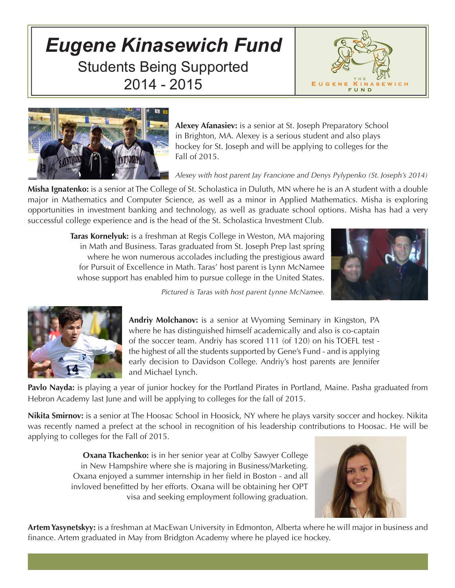## *Eugene Kinasewich Fund* Students Being Supported 2014 - 2015





**Alexey Afanasiev:** is a senior at St. Joseph Preparatory School in Brighton, MA. Alexey is a serious student and also plays hockey for St. Joseph and will be applying to colleges for the Fall of 2015.

## *Alexey with host parent Jay Francione and Denys Pylypenko (St. Joseph's 2014)*

**Misha Ignatenko:** is a senior at The College of St. Scholastica in Duluth, MN where he is an A student with a double major in Mathematics and Computer Science, as well as a minor in Applied Mathematics. Misha is exploring opportunities in investment banking and technology, as well as graduate school options. Misha has had a very successful college experience and is the head of the St. Scholastica Investment Club.

> **Taras Kornelyuk:** is a freshman at Regis College in Weston, MA majoring in Math and Business. Taras graduated from St. Joseph Prep last spring where he won numerous accolades including the prestigious award for Pursuit of Excellence in Math. Taras' host parent is Lynn McNamee whose support has enabled him to pursue college in the United States.



*Pictured is Taras with host parent Lynne McNamee.*

**Andriy Molchanov:** is a senior at Wyoming Seminary in Kingston, PA where he has distinguished himself academically and also is co-captain of the soccer team. Andriy has scored 111 (of 120) on his TOEFL test the highest of all the students supported by Gene's Fund - and is applying early decision to Davidson College. Andriy's host parents are Jennifer and Michael Lynch.

**Pavlo Nayda:** is playing a year of junior hockey for the Portland Pirates in Portland, Maine. Pasha graduated from Hebron Academy last June and will be applying to colleges for the fall of 2015.

**Nikita Smirnov:** is a senior at The Hoosac School in Hoosick, NY where he plays varsity soccer and hockey. Nikita was recently named a prefect at the school in recognition of his leadership contributions to Hoosac. He will be applying to colleges for the Fall of 2015.

> **Oxana Tkachenko:** is in her senior year at Colby Sawyer College in New Hampshire where she is majoring in Business/Marketing. Oxana enjoyed a summer internship in her field in Boston - and all invloved benefitted by her efforts. Oxana will be obtaining her OPT visa and seeking employment following graduation.



**Artem Yasynetskyy:** is a freshman at MacEwan University in Edmonton, Alberta where he will major in business and finance. Artem graduated in May from Bridgton Academy where he played ice hockey.